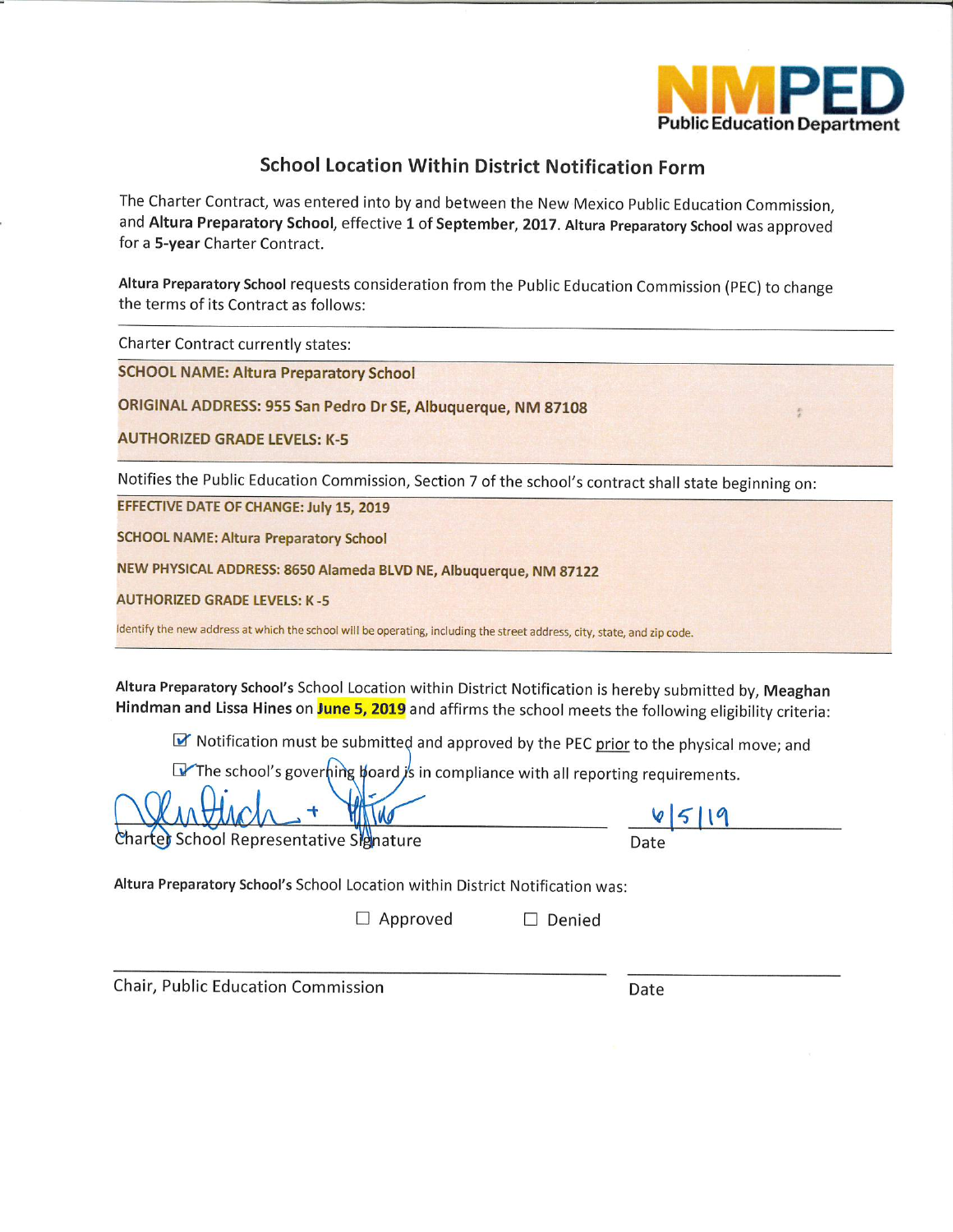

# **School Location Within District Notification Form**

The Charter Contract, was entered into by and between the New Mexico Public Education Commission, and Altura Preparatory School, effective 1 of September, 2017. Altura Preparatory School was approved for a 5-year Charter Contract.

Altura Preparatory School requests consideration from the Public Education Commission (PEC) to change the terms of its Contract as follows:

**Charter Contract currently states:** 

**SCHOOL NAME: Altura Preparatory School** 

ORIGINAL ADDRESS: 955 San Pedro Dr SE, Albuquerque, NM 87108

**AUTHORIZED GRADE LEVELS: K-5** 

Notifies the Public Education Commission, Section 7 of the school's contract shall state beginning on:

EFFECTIVE DATE OF CHANGE: July 15, 2019

**SCHOOL NAME: Altura Preparatory School** 

NEW PHYSICAL ADDRESS: 8650 Alameda BLVD NE, Albuquerque, NM 87122

**AUTHORIZED GRADE LEVELS: K-5** 

Identify the new address at which the school will be operating, including the street address, city, state, and zip code.

Altura Preparatory School's School Location within District Notification is hereby submitted by, Meaghan Hindman and Lissa Hines on June 5, 2019 and affirms the school meets the following eligibility criteria:

MY Notification must be submitted and approved by the PEC prior to the physical move; and

The school's governing board is in compliance with all reporting requirements.

harter School Representative Signature

Altura Preparatory School's School Location within District Notification was:

 $\Box$  Approved

Chair, Public Education Commission

Date

 $\Box$  Denied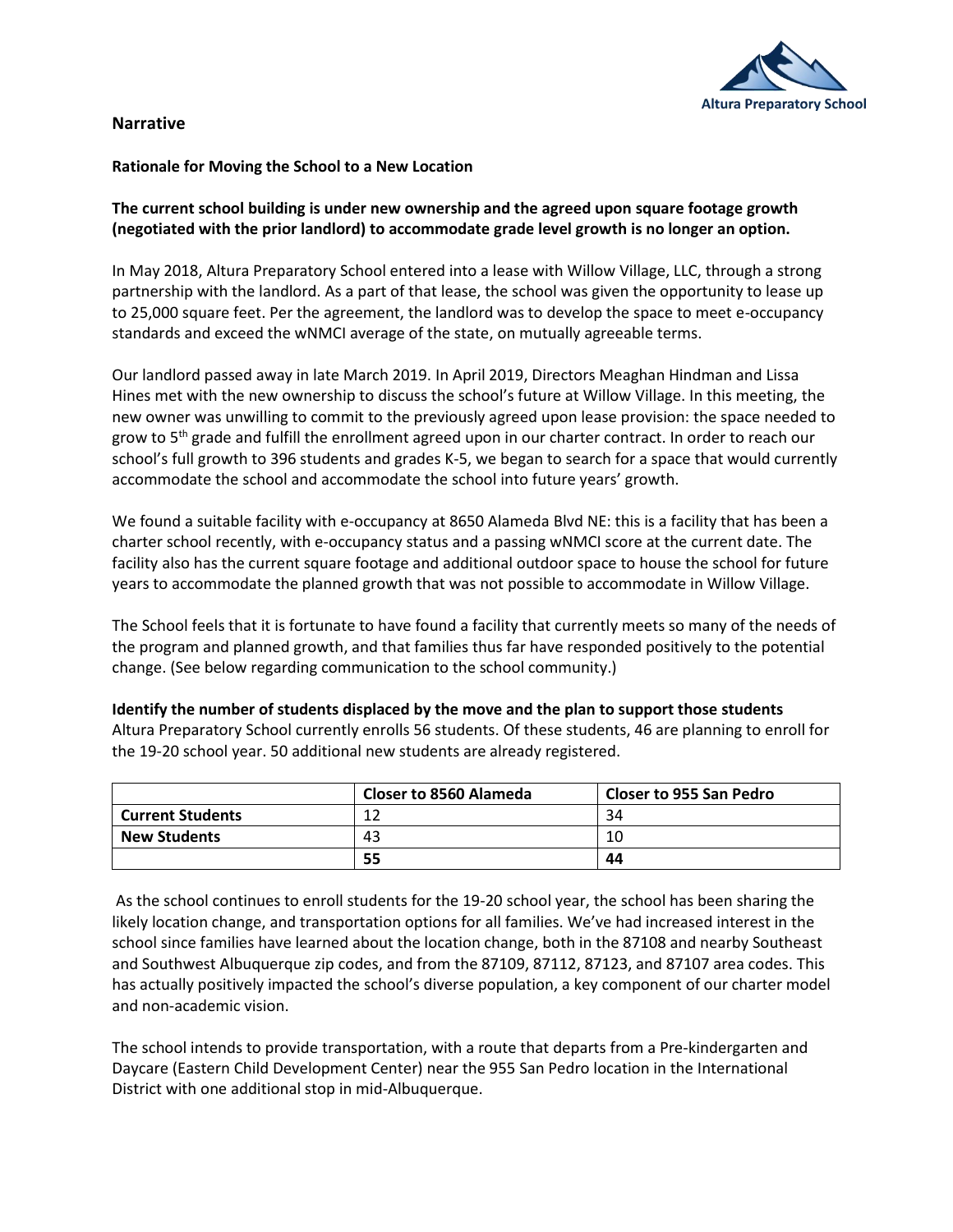

# **Narrative**

### **Rationale for Moving the School to a New Location**

# **The current school building is under new ownership and the agreed upon square footage growth (negotiated with the prior landlord) to accommodate grade level growth is no longer an option.**

In May 2018, Altura Preparatory School entered into a lease with Willow Village, LLC, through a strong partnership with the landlord. As a part of that lease, the school was given the opportunity to lease up to 25,000 square feet. Per the agreement, the landlord was to develop the space to meet e-occupancy standards and exceed the wNMCI average of the state, on mutually agreeable terms.

Our landlord passed away in late March 2019. In April 2019, Directors Meaghan Hindman and Lissa Hines met with the new ownership to discuss the school's future at Willow Village. In this meeting, the new owner was unwilling to commit to the previously agreed upon lease provision: the space needed to grow to 5<sup>th</sup> grade and fulfill the enrollment agreed upon in our charter contract. In order to reach our school's full growth to 396 students and grades K-5, we began to search for a space that would currently accommodate the school and accommodate the school into future years' growth.

We found a suitable facility with e-occupancy at 8650 Alameda Blvd NE: this is a facility that has been a charter school recently, with e-occupancy status and a passing wNMCI score at the current date. The facility also has the current square footage and additional outdoor space to house the school for future years to accommodate the planned growth that was not possible to accommodate in Willow Village.

The School feels that it is fortunate to have found a facility that currently meets so many of the needs of the program and planned growth, and that families thus far have responded positively to the potential change. (See below regarding communication to the school community.)

|                         | <b>Closer to 8560 Alameda</b> | <b>Closer to 955 San Pedro</b> |
|-------------------------|-------------------------------|--------------------------------|
| <b>Current Students</b> | 12                            | 34                             |
| <b>New Students</b>     | 43                            | 10                             |
|                         | 55                            | 44                             |

Altura Preparatory School currently enrolls 56 students. Of these students, 46 are planning to enroll for

**Identify the number of students displaced by the move and the plan to support those students**

the 19-20 school year. 50 additional new students are already registered.

As the school continues to enroll students for the 19-20 school year, the school has been sharing the likely location change, and transportation options for all families. We've had increased interest in the school since families have learned about the location change, both in the 87108 and nearby Southeast and Southwest Albuquerque zip codes, and from the 87109, 87112, 87123, and 87107 area codes. This has actually positively impacted the school's diverse population, a key component of our charter model and non-academic vision.

The school intends to provide transportation, with a route that departs from a Pre-kindergarten and Daycare (Eastern Child Development Center) near the 955 San Pedro location in the International District with one additional stop in mid-Albuquerque.